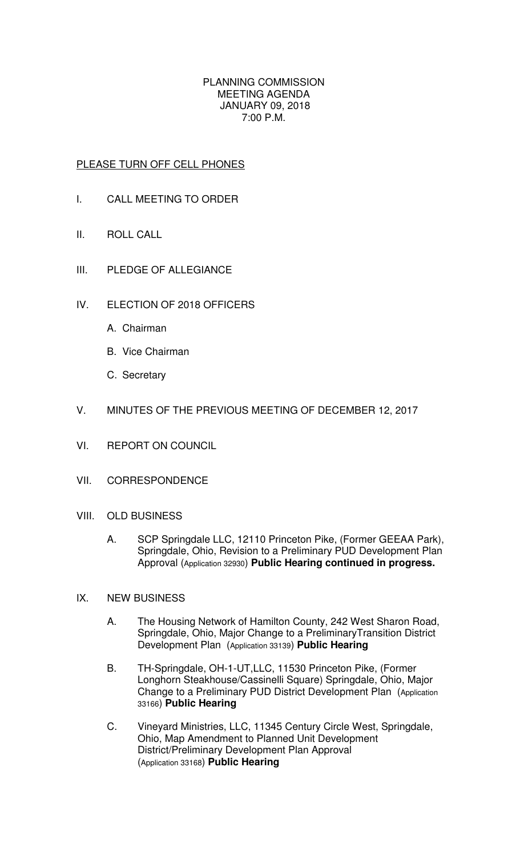## PLANNING COMMISSION MEETING AGENDA JANUARY 09, 2018 7:00 P.M.

## PLEASE TURN OFF CELL PHONES

- I. CALL MEETING TO ORDER
- II. ROLL CALL
- III. PLEDGE OF ALLEGIANCE
- IV. ELECTION OF 2018 OFFICERS
	- A. Chairman
	- B. Vice Chairman
	- C. Secretary
- V. MINUTES OF THE PREVIOUS MEETING OF DECEMBER 12, 2017
- VI. REPORT ON COUNCIL
- VII. CORRESPONDENCE
- VIII. OLD BUSINESS
	- A. SCP Springdale LLC, 12110 Princeton Pike, (Former GEEAA Park), Springdale, Ohio, Revision to a Preliminary PUD Development Plan Approval (Application 32930) **Public Hearing continued in progress.**
- IX. NEW BUSINESS
	- A. The Housing Network of Hamilton County, 242 West Sharon Road, Springdale, Ohio, Major Change to a PreliminaryTransition District Development Plan (Application 33139) **Public Hearing**
	- B. TH-Springdale, OH-1-UT,LLC, 11530 Princeton Pike, (Former Longhorn Steakhouse/Cassinelli Square) Springdale, Ohio, Major Change to a Preliminary PUD District Development Plan (Application 33166) **Public Hearing**
	- C. Vineyard Ministries, LLC, 11345 Century Circle West, Springdale, Ohio, Map Amendment to Planned Unit Development District/Preliminary Development Plan Approval (Application 33168) **Public Hearing**